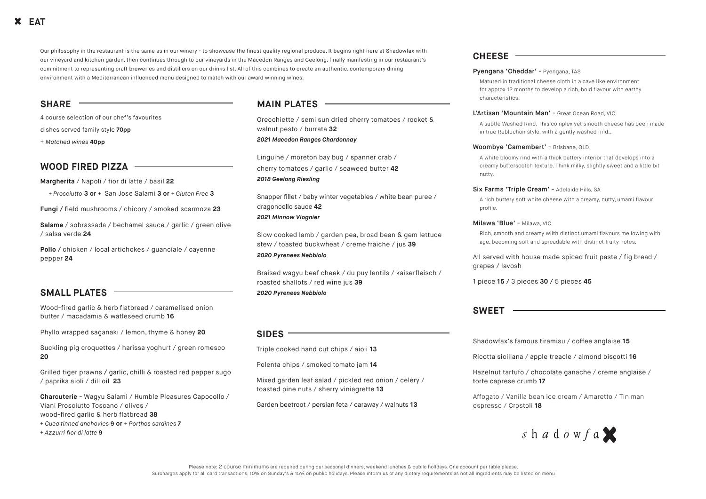Our philosophy in the restaurant is the same as in our winery - to showcase the finest quality regional produce. It begins right here at Shadowfax with our vineyard and kitchen garden, then continues through to our vineyards in the Macedon Ranges and Geelong, finally manifesting in our restaurant's commitment to representing craft breweries and distillers on our drinks list. All of this combines to create an authentic, contemporary dining environment with a Mediterranean influenced menu designed to match with our award winning wines.

### **SMALL PLATES**

Wood-fired garlic & herb flatbread / caramelised onion butter / macadamia & watleseed crumb **16**

Phyllo wrapped saganaki / lemon, thyme & honey **20**

Suckling pig croquettes / harissa yoghurt / green romesco **20**

Grilled tiger prawns **/** garlic, chilli & roasted red pepper sugo / paprika aioli / dill oil **23**

**Charcuterie** - Wagyu Salami / Humble Pleasures Capocollo / Viani Prosciutto Toscano / olives /

- wood-fired garlic & herb flatbread **38**  *+ Cuca tinned anchovies* **9 or** *+ Porthos sardines* **7**
- *+ Azzurri fior di latte* **9**

# **SIDES**

Triple cooked hand cut chips / aioli **13** Polenta chips / smoked tomato jam **14** Mixed garden leaf salad / pickled red onion / celery / toasted pine nuts / sherry viniagrette **13**

Garden beetroot / persian feta / caraway / walnuts **13**

#### **SHARE**

4 course selection of our chef's favourites

dishes served family style **70pp**

+ *Matched wines* **40pp**

# **MAIN PLATES**

Orecchiette / semi sun dried cherry tomatoes / rocket & walnut pesto / burrata **32** *2021 Macedon Ranges Chardonnay*

Linguine / moreton bay bug / spanner crab / cherry tomatoes / garlic / seaweed butter **42** *2018 Geelong Riesling*

Snapper fillet / baby winter vegetables / white bean puree / dragoncello sauce **42** 

#### *2021 Minnow Viognier*

**Pollo** / chicken / local artichokes / guanciale / cayenne pepper **24**

Slow cooked lamb / garden pea, broad bean & gem lettuce stew / toasted buckwheat / creme fraiche / jus **39**  *2020 Pyrenees Nebbiolo*

Braised wagyu beef cheek / du puy lentils / kaiserfleisch / roasted shallots / red wine jus **39** *2020 Pyrenees Nebbiolo*

# **CHEESE**

#### Pyengana 'Cheddar' - Pyengana, TAS

Matured in traditional cheese cloth in a cave like environment for approx 12 months to develop a rich, bold flavour with earthy

characteristics.

#### L'Artisan 'Mountain Man' - Great Ocean Road, VIC

A subtle Washed Rind. This complex yet smooth cheese has been made in true Reblochon style, with a gently washed rind..

#### Woombye 'Camembert' - Brisbane, QLD

A white bloomy rind with a thick buttery interior that develops into a creamy butterscotch texture. Think milky, slightly sweet and a little bit

nutty.

#### Six Farms 'Triple Cream' - Adelaide Hills, SA

A rich buttery soft white cheese with a creamy, nutty, umami flavour

profile.

#### Milawa 'Blue' - Milawa, VIC

Rich, smooth and creamy wiith distinct umami flavours mellowing with age, becoming soft and spreadable with distinct fruity notes.

#### All served with house made spiced fruit paste / fig bread /

# $s$  h a d o w f a

grapes / lavosh

1 piece **15 /** 3 pieces **30 /** 5 pieces **45**

### **SWEET**

Shadowfax's famous tiramisu / coffee anglaise **15**

Ricotta siciliana / apple treacle / almond biscotti **16**

Hazelnut tartufo / chocolate ganache / creme anglaise / torte caprese crumb **17**

Affogato / Vanilla bean ice cream / Amaretto / Tin man espresso / Crostoli **18**

#### **WOOD FIRED PIZZA**

**Margherita** / Napoli / fior di latte / basil **22**

*+ Prosciutto* **3 or** *+* San Jose Salami **3 or** *+ Gluten Free* **3**

**Fungi /** field mushrooms / chicory / smoked scarmoza **23**

**Salame** / sobrassada / bechamel sauce / garlic / green olive / salsa verde **24**

# **EAT**